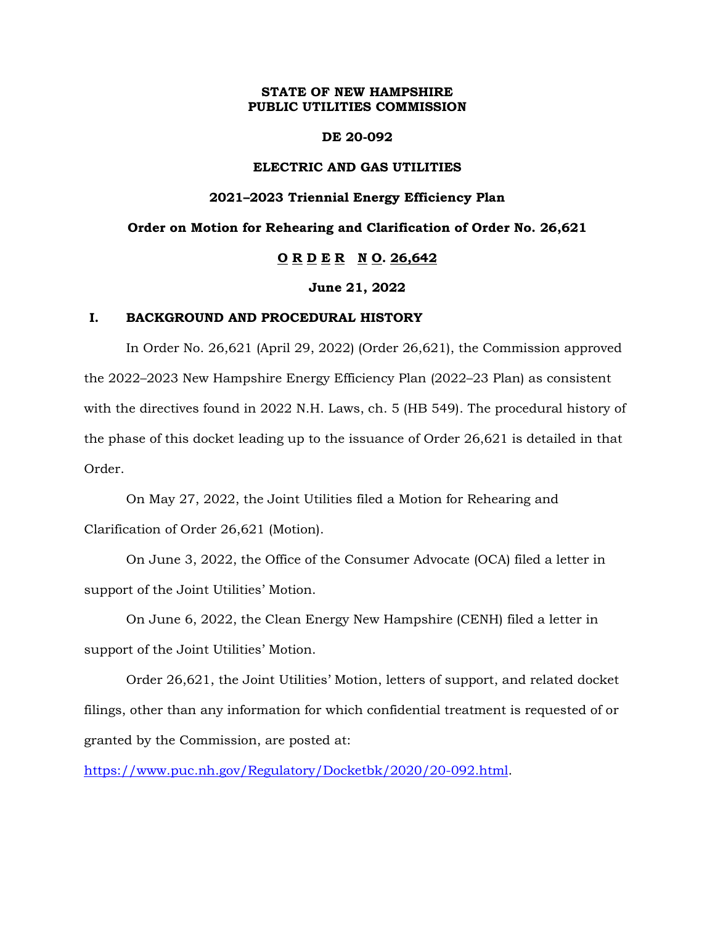## **STATE OF NEW HAMPSHIRE PUBLIC UTILITIES COMMISSION**

#### **DE 20-092**

#### **ELECTRIC AND GAS UTILITIES**

#### **2021–2023 Triennial Energy Efficiency Plan**

### **Order on Motion for Rehearing and Clarification of Order No. 26,621**

# **O R D E R N O. 26,642**

#### **June 21, 2022**

#### **I. BACKGROUND AND PROCEDURAL HISTORY**

In Order No. 26,621 (April 29, 2022) (Order 26,621), the Commission approved the 2022–2023 New Hampshire Energy Efficiency Plan (2022–23 Plan) as consistent with the directives found in 2022 N.H. Laws, ch. 5 (HB 549). The procedural history of the phase of this docket leading up to the issuance of Order 26,621 is detailed in that Order.

On May 27, 2022, the Joint Utilities filed a Motion for Rehearing and Clarification of Order 26,621 (Motion).

On June 3, 2022, the Office of the Consumer Advocate (OCA) filed a letter in support of the Joint Utilities' Motion.

On June 6, 2022, the Clean Energy New Hampshire (CENH) filed a letter in support of the Joint Utilities' Motion.

Order 26,621, the Joint Utilities' Motion, letters of support, and related docket filings, other than any information for which confidential treatment is requested of or granted by the Commission, are posted at:

[https://www.puc.nh.gov/Regulatory/Docketbk/2020/20-092.html.](https://www.puc.nh.gov/Regulatory/Docketbk/2020/20-092.html)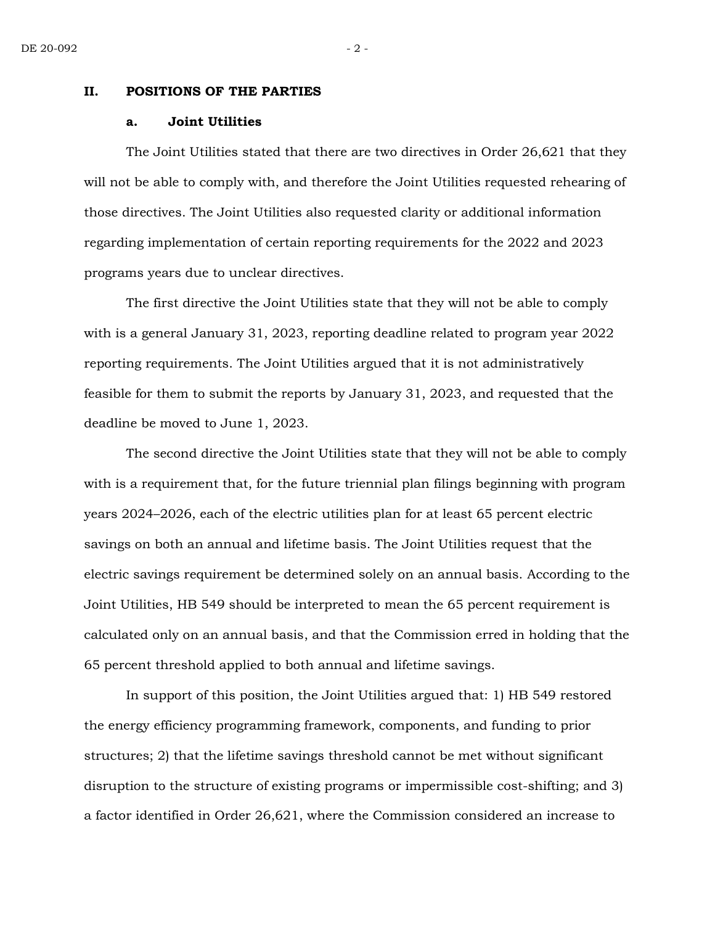#### **II. POSITIONS OF THE PARTIES**

#### **a. Joint Utilities**

The Joint Utilities stated that there are two directives in Order 26,621 that they will not be able to comply with, and therefore the Joint Utilities requested rehearing of those directives. The Joint Utilities also requested clarity or additional information regarding implementation of certain reporting requirements for the 2022 and 2023 programs years due to unclear directives.

The first directive the Joint Utilities state that they will not be able to comply with is a general January 31, 2023, reporting deadline related to program year 2022 reporting requirements. The Joint Utilities argued that it is not administratively feasible for them to submit the reports by January 31, 2023, and requested that the deadline be moved to June 1, 2023.

The second directive the Joint Utilities state that they will not be able to comply with is a requirement that, for the future triennial plan filings beginning with program years 2024–2026, each of the electric utilities plan for at least 65 percent electric savings on both an annual and lifetime basis. The Joint Utilities request that the electric savings requirement be determined solely on an annual basis. According to the Joint Utilities, HB 549 should be interpreted to mean the 65 percent requirement is calculated only on an annual basis, and that the Commission erred in holding that the 65 percent threshold applied to both annual and lifetime savings.

In support of this position, the Joint Utilities argued that: 1) HB 549 restored the energy efficiency programming framework, components, and funding to prior structures; 2) that the lifetime savings threshold cannot be met without significant disruption to the structure of existing programs or impermissible cost-shifting; and 3) a factor identified in Order 26,621, where the Commission considered an increase to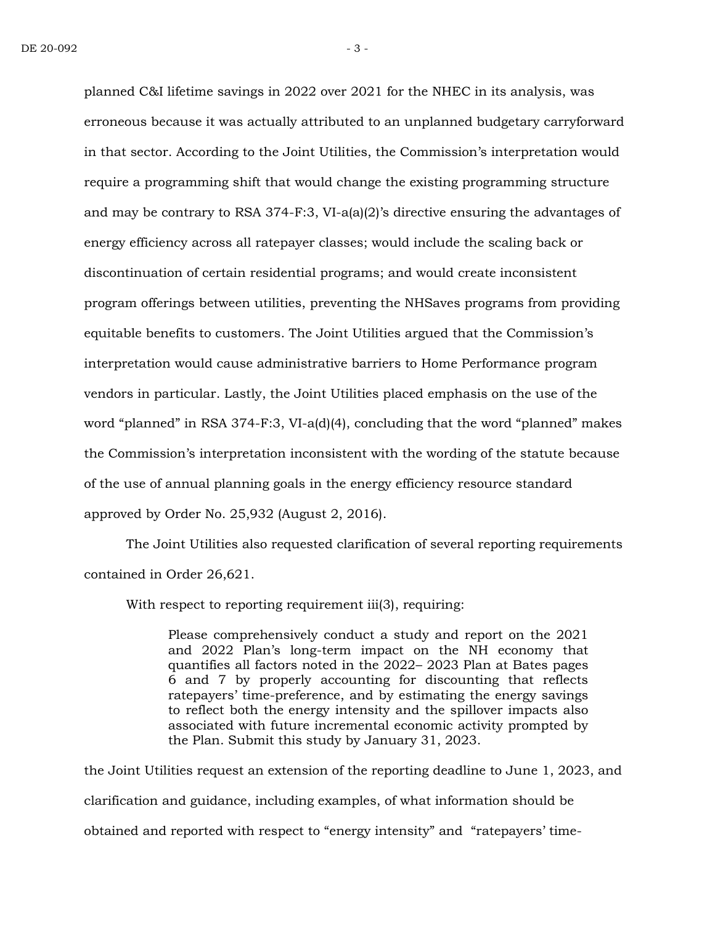planned C&I lifetime savings in 2022 over 2021 for the NHEC in its analysis, was erroneous because it was actually attributed to an unplanned budgetary carryforward in that sector. According to the Joint Utilities, the Commission's interpretation would require a programming shift that would change the existing programming structure and may be contrary to RSA 374-F:3, VI-a(a)(2)'s directive ensuring the advantages of energy efficiency across all ratepayer classes; would include the scaling back or discontinuation of certain residential programs; and would create inconsistent program offerings between utilities, preventing the NHSaves programs from providing equitable benefits to customers. The Joint Utilities argued that the Commission's interpretation would cause administrative barriers to Home Performance program vendors in particular. Lastly, the Joint Utilities placed emphasis on the use of the word "planned" in RSA 374-F:3, VI-a(d)(4), concluding that the word "planned" makes the Commission's interpretation inconsistent with the wording of the statute because of the use of annual planning goals in the energy efficiency resource standard approved by Order No. 25,932 (August 2, 2016).

The Joint Utilities also requested clarification of several reporting requirements contained in Order 26,621.

With respect to reporting requirement iii(3), requiring:

Please comprehensively conduct a study and report on the 2021 and 2022 Plan's long-term impact on the NH economy that quantifies all factors noted in the 2022– 2023 Plan at Bates pages 6 and 7 by properly accounting for discounting that reflects ratepayers' time-preference, and by estimating the energy savings to reflect both the energy intensity and the spillover impacts also associated with future incremental economic activity prompted by the Plan. Submit this study by January 31, 2023.

the Joint Utilities request an extension of the reporting deadline to June 1, 2023, and clarification and guidance, including examples, of what information should be obtained and reported with respect to "energy intensity" and "ratepayers' time-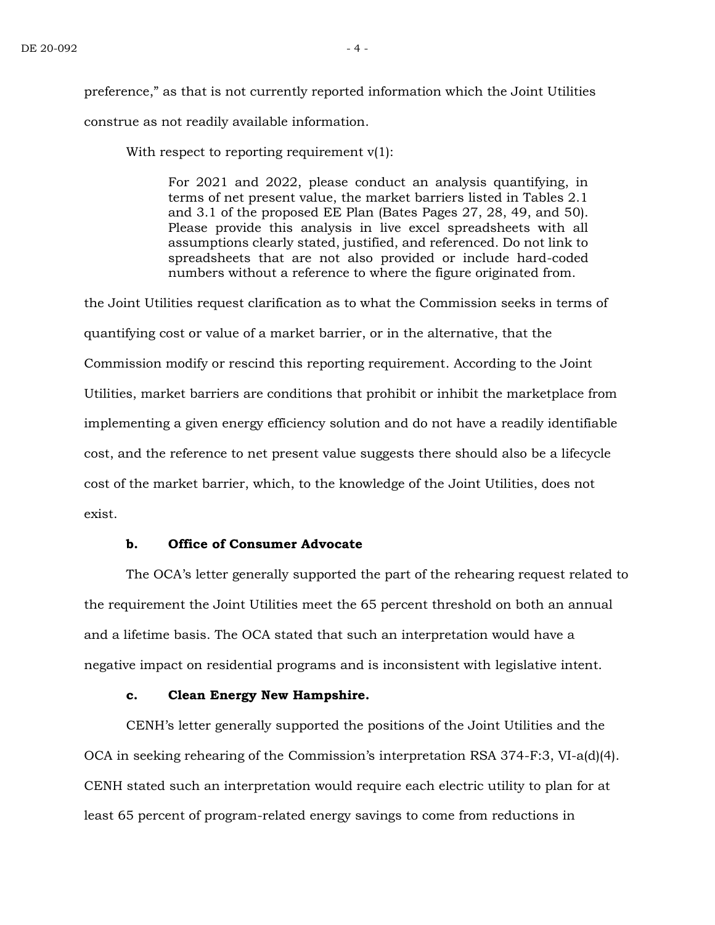preference," as that is not currently reported information which the Joint Utilities construe as not readily available information.

With respect to reporting requirement  $v(1)$ :

For 2021 and 2022, please conduct an analysis quantifying, in terms of net present value, the market barriers listed in Tables 2.1 and 3.1 of the proposed EE Plan (Bates Pages 27, 28, 49, and 50). Please provide this analysis in live excel spreadsheets with all assumptions clearly stated, justified, and referenced. Do not link to spreadsheets that are not also provided or include hard-coded numbers without a reference to where the figure originated from.

the Joint Utilities request clarification as to what the Commission seeks in terms of quantifying cost or value of a market barrier, or in the alternative, that the Commission modify or rescind this reporting requirement. According to the Joint Utilities, market barriers are conditions that prohibit or inhibit the marketplace from implementing a given energy efficiency solution and do not have a readily identifiable cost, and the reference to net present value suggests there should also be a lifecycle cost of the market barrier, which, to the knowledge of the Joint Utilities, does not exist.

# **b. Office of Consumer Advocate**

The OCA's letter generally supported the part of the rehearing request related to the requirement the Joint Utilities meet the 65 percent threshold on both an annual and a lifetime basis. The OCA stated that such an interpretation would have a negative impact on residential programs and is inconsistent with legislative intent.

## **c. Clean Energy New Hampshire.**

CENH's letter generally supported the positions of the Joint Utilities and the OCA in seeking rehearing of the Commission's interpretation RSA 374-F:3, VI-a(d)(4). CENH stated such an interpretation would require each electric utility to plan for at least 65 percent of program-related energy savings to come from reductions in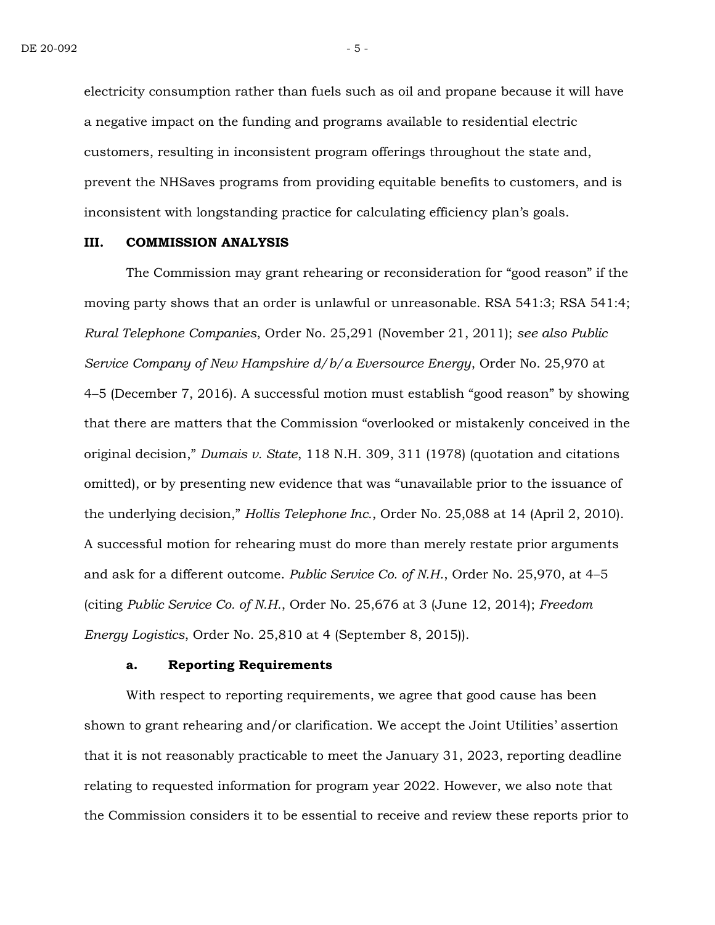electricity consumption rather than fuels such as oil and propane because it will have a negative impact on the funding and programs available to residential electric customers, resulting in inconsistent program offerings throughout the state and, prevent the NHSaves programs from providing equitable benefits to customers, and is inconsistent with longstanding practice for calculating efficiency plan's goals.

#### **III. COMMISSION ANALYSIS**

The Commission may grant rehearing or reconsideration for "good reason" if the moving party shows that an order is unlawful or unreasonable. RSA 541:3; RSA 541:4; *Rural Telephone Companies*, Order No. 25,291 (November 21, 2011); *see also Public Service Company of New Hampshire d/b/a Eversource Energy*, Order No. 25,970 at 4–5 (December 7, 2016). A successful motion must establish "good reason" by showing that there are matters that the Commission "overlooked or mistakenly conceived in the original decision," *Dumais v. State*, 118 N.H. 309, 311 (1978) (quotation and citations omitted), or by presenting new evidence that was "unavailable prior to the issuance of the underlying decision," *Hollis Telephone Inc.*, Order No. 25,088 at 14 (April 2, 2010). A successful motion for rehearing must do more than merely restate prior arguments and ask for a different outcome. *Public Service Co. of N.H.*, Order No. 25,970, at 4–5 (citing *Public Service Co. of N.H.*, Order No. 25,676 at 3 (June 12, 2014); *Freedom Energy Logistics*, Order No. 25,810 at 4 (September 8, 2015)).

#### **a. Reporting Requirements**

With respect to reporting requirements, we agree that good cause has been shown to grant rehearing and/or clarification. We accept the Joint Utilities' assertion that it is not reasonably practicable to meet the January 31, 2023, reporting deadline relating to requested information for program year 2022. However, we also note that the Commission considers it to be essential to receive and review these reports prior to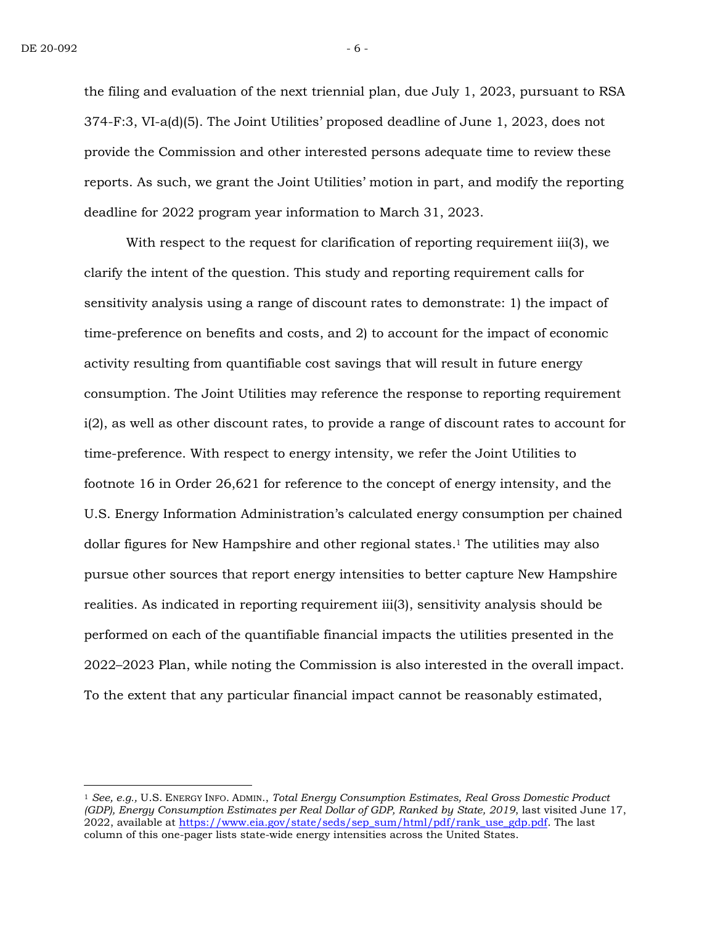the filing and evaluation of the next triennial plan, due July 1, 2023, pursuant to RSA 374-F:3, VI-a(d)(5). The Joint Utilities' proposed deadline of June 1, 2023, does not provide the Commission and other interested persons adequate time to review these reports. As such, we grant the Joint Utilities' motion in part, and modify the reporting deadline for 2022 program year information to March 31, 2023.

With respect to the request for clarification of reporting requirement iii(3), we clarify the intent of the question. This study and reporting requirement calls for sensitivity analysis using a range of discount rates to demonstrate: 1) the impact of time-preference on benefits and costs, and 2) to account for the impact of economic activity resulting from quantifiable cost savings that will result in future energy consumption. The Joint Utilities may reference the response to reporting requirement i(2), as well as other discount rates, to provide a range of discount rates to account for time-preference. With respect to energy intensity, we refer the Joint Utilities to footnote 16 in Order 26,621 for reference to the concept of energy intensity, and the U.S. Energy Information Administration's calculated energy consumption per chained dollar figures for New Hampshire and other regional states. <sup>1</sup> The utilities may also pursue other sources that report energy intensities to better capture New Hampshire realities. As indicated in reporting requirement iii(3), sensitivity analysis should be performed on each of the quantifiable financial impacts the utilities presented in the 2022–2023 Plan, while noting the Commission is also interested in the overall impact. To the extent that any particular financial impact cannot be reasonably estimated,

<sup>1</sup> *See, e.g.,* U.S. ENERGY INFO. ADMIN., *Total Energy Consumption Estimates, Real Gross Domestic Product (GDP), Energy Consumption Estimates per Real Dollar of GDP, Ranked by State, 2019*, last visited June 17,  $2022$ , available at [https://www.eia.gov/state/seds/sep\\_sum/html/pdf/rank\\_use\\_gdp.pdf.](https://www.eia.gov/state/seds/sep_sum/html/pdf/rank_use_gdp.pdf) The last column of this one-pager lists state-wide energy intensities across the United States.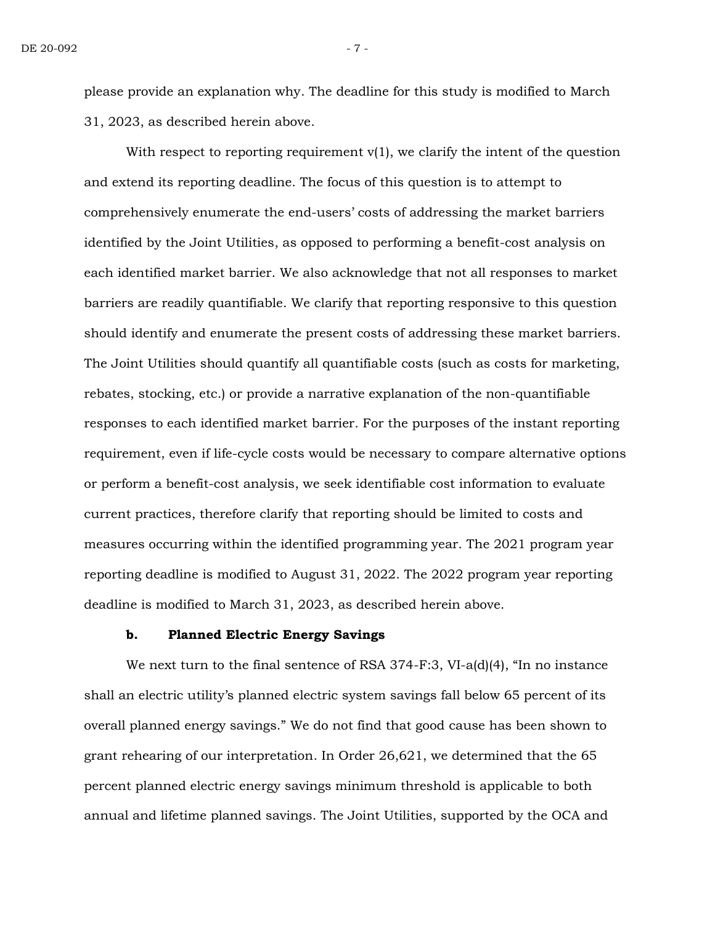please provide an explanation why. The deadline for this study is modified to March 31, 2023, as described herein above.

With respect to reporting requirement  $v(1)$ , we clarify the intent of the question and extend its reporting deadline. The focus of this question is to attempt to comprehensively enumerate the end-users' costs of addressing the market barriers identified by the Joint Utilities, as opposed to performing a benefit-cost analysis on each identified market barrier. We also acknowledge that not all responses to market barriers are readily quantifiable. We clarify that reporting responsive to this question should identify and enumerate the present costs of addressing these market barriers. The Joint Utilities should quantify all quantifiable costs (such as costs for marketing, rebates, stocking, etc.) or provide a narrative explanation of the non-quantifiable responses to each identified market barrier. For the purposes of the instant reporting requirement, even if life-cycle costs would be necessary to compare alternative options or perform a benefit-cost analysis, we seek identifiable cost information to evaluate current practices, therefore clarify that reporting should be limited to costs and measures occurring within the identified programming year. The 2021 program year reporting deadline is modified to August 31, 2022. The 2022 program year reporting deadline is modified to March 31, 2023, as described herein above.

## **b. Planned Electric Energy Savings**

We next turn to the final sentence of RSA 374-F:3, VI-a(d)(4), "In no instance shall an electric utility's planned electric system savings fall below 65 percent of its overall planned energy savings." We do not find that good cause has been shown to grant rehearing of our interpretation. In Order 26,621, we determined that the 65 percent planned electric energy savings minimum threshold is applicable to both annual and lifetime planned savings. The Joint Utilities, supported by the OCA and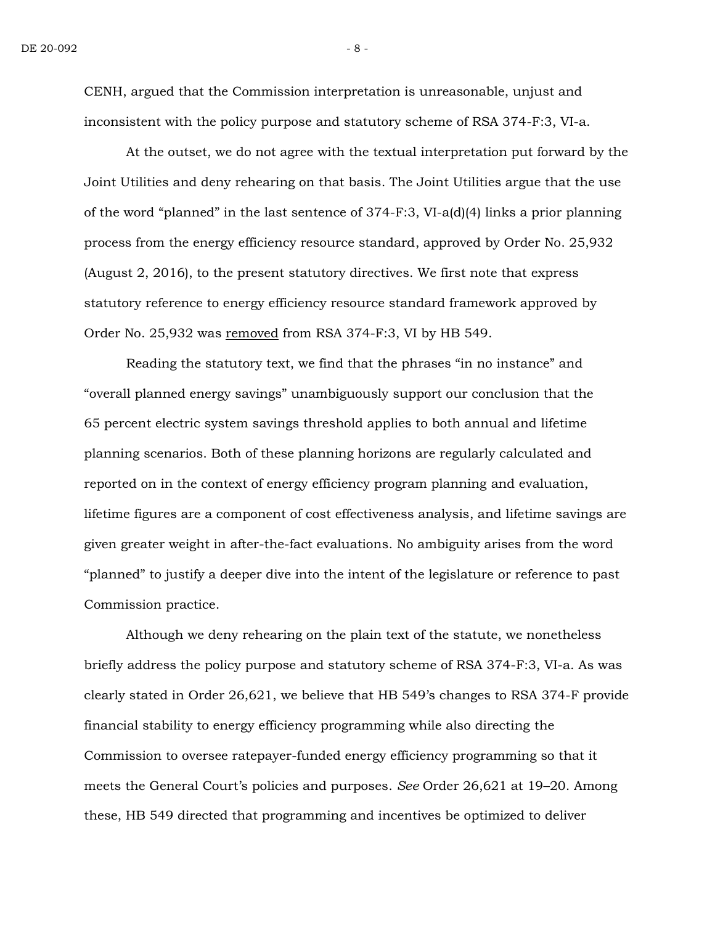CENH, argued that the Commission interpretation is unreasonable, unjust and inconsistent with the policy purpose and statutory scheme of RSA 374-F:3, VI-a.

At the outset, we do not agree with the textual interpretation put forward by the Joint Utilities and deny rehearing on that basis. The Joint Utilities argue that the use of the word "planned" in the last sentence of 374-F:3, VI-a(d)(4) links a prior planning process from the energy efficiency resource standard, approved by Order No. 25,932 (August 2, 2016), to the present statutory directives. We first note that express statutory reference to energy efficiency resource standard framework approved by Order No. 25,932 was removed from RSA 374-F:3, VI by HB 549.

Reading the statutory text, we find that the phrases "in no instance" and "overall planned energy savings" unambiguously support our conclusion that the 65 percent electric system savings threshold applies to both annual and lifetime planning scenarios. Both of these planning horizons are regularly calculated and reported on in the context of energy efficiency program planning and evaluation, lifetime figures are a component of cost effectiveness analysis, and lifetime savings are given greater weight in after-the-fact evaluations. No ambiguity arises from the word "planned" to justify a deeper dive into the intent of the legislature or reference to past Commission practice.

Although we deny rehearing on the plain text of the statute, we nonetheless briefly address the policy purpose and statutory scheme of RSA 374-F:3, VI-a. As was clearly stated in Order 26,621, we believe that HB 549's changes to RSA 374-F provide financial stability to energy efficiency programming while also directing the Commission to oversee ratepayer-funded energy efficiency programming so that it meets the General Court's policies and purposes. *See* Order 26,621 at 19–20. Among these, HB 549 directed that programming and incentives be optimized to deliver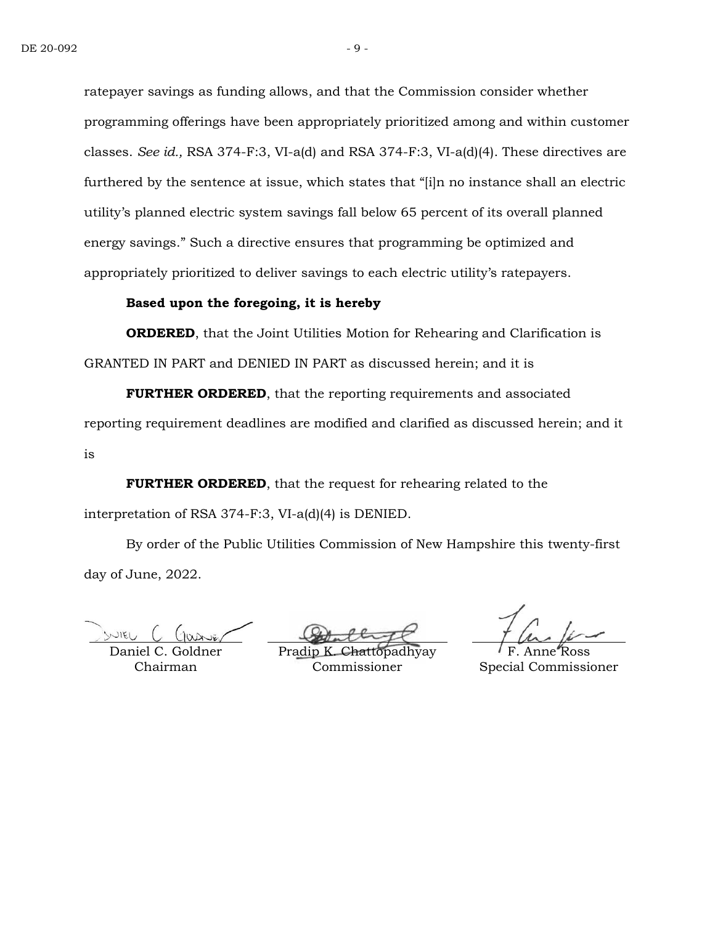ratepayer savings as funding allows, and that the Commission consider whether programming offerings have been appropriately prioritized among and within customer classes. *See id.,* RSA 374-F:3, VI-a(d) and RSA 374-F:3, VI-a(d)(4). These directives are furthered by the sentence at issue, which states that "[i]n no instance shall an electric utility's planned electric system savings fall below 65 percent of its overall planned energy savings." Such a directive ensures that programming be optimized and appropriately prioritized to deliver savings to each electric utility's ratepayers.

# **Based upon the foregoing, it is hereby**

**ORDERED**, that the Joint Utilities Motion for Rehearing and Clarification is GRANTED IN PART and DENIED IN PART as discussed herein; and it is

**FURTHER ORDERED**, that the reporting requirements and associated reporting requirement deadlines are modified and clarified as discussed herein; and it is

**FURTHER ORDERED**, that the request for rehearing related to the interpretation of RSA 374-F:3, VI-a(d)(4) is DENIED.

By order of the Public Utilities Commission of New Hampshire this twenty-first day of June, 2022.

WIEL

Daniel C. Goldner Chairman

Pradip **K** Commissioner

F. Anne Ross Special Commissioner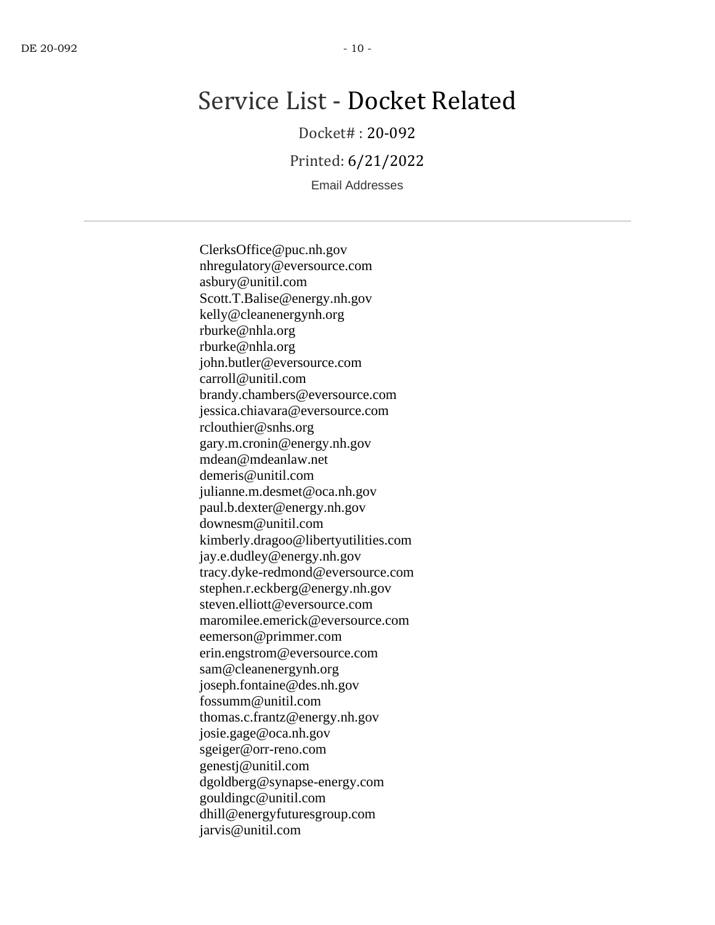# Service List - Docket Related

Docket# : 20-092

Printed: 6/21/2022

Email Addresses

ClerksOffice@puc.nh.gov nhregulatory@eversource.com asbury@unitil.com Scott.T.Balise@energy.nh.gov kelly@cleanenergynh.org rburke@nhla.org rburke@nhla.org john.butler@eversource.com carroll@unitil.com brandy.chambers@eversource.com jessica.chiavara@eversource.com rclouthier@snhs.org gary.m.cronin@energy.nh.gov mdean@mdeanlaw.net demeris@unitil.com julianne.m.desmet@oca.nh.gov paul.b.dexter@energy.nh.gov downesm@unitil.com kimberly.dragoo@libertyutilities.com jay.e.dudley@energy.nh.gov tracy.dyke-redmond@eversource.com stephen.r.eckberg@energy.nh.gov steven.elliott@eversource.com maromilee.emerick@eversource.com eemerson@primmer.com erin.engstrom@eversource.com sam@cleanenergynh.org joseph.fontaine@des.nh.gov fossumm@unitil.com thomas.c.frantz@energy.nh.gov josie.gage@oca.nh.gov sgeiger@orr-reno.com genestj@unitil.com dgoldberg@synapse-energy.com gouldingc@unitil.com dhill@energyfuturesgroup.com jarvis@unitil.com